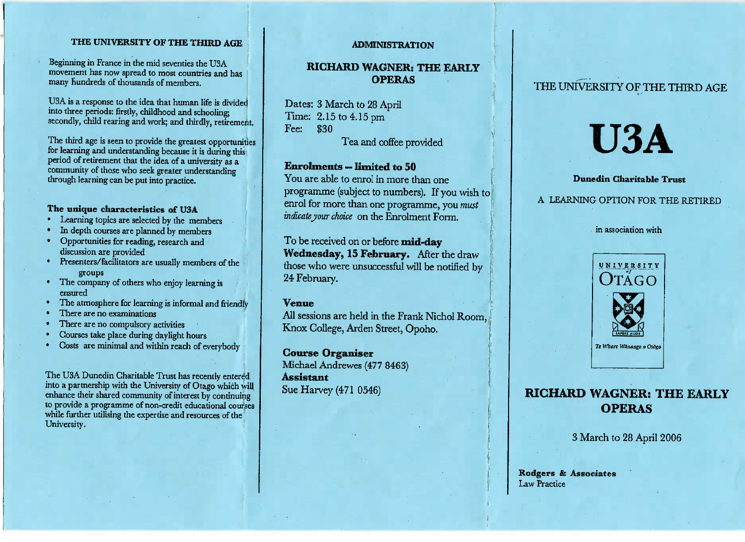### **THE UNIVERSITY OF THE THIRD AGE**

Beginning in France in the mid seventies the USAmovement has now spread to most countries and has many Hundreds of thousands of members.

USA is a response to the idea that human life is dividedand three periods: matry, childhood and schooling;<br>secondly, child rearing and work; and thirdly, retirement.

The third age is seen to provide the greatest opportunities for learning and understanding because it is during this period of retirement that the idea of a university as a period of retirement that the idea of a university as a community of those who seek greater understanding community of those who seek greater understandingthrough learning can be put into practice.

- **The unique characteristics of U3A**
- In depth courses are planned by members
- Opportunities for reading, research and discussion are provided
- enters/facilitators are usually members of the
- The company of others who enjoy learning is
- The atmosphere for learning is informal and friendly
- 
- There are no compulsory as
- <sup>2</sup> There are no compulsory activities
- Courses take place during daylight hours Costs are minimal and within reach of everybody

The USA Duncant Charitable Trust has recently entered into a partnership with the University of Otago which will enhance their shared community of interest by continuing enhance their shared community of interest by community to provide a programme of non-credit educational courseswhile further utilising the expertise and resources of the University.

#### **ADMINISTRATION**

## **RICHARD WAGNER; THE EARLYOPERAS**

Dates: 3 March to 28 AprilTime: 2.15 to 4.15 pmFee: \$30

Tea and coffee provided

## **Enrolments — limited to 50**

 You are able to enrol in more than one programme (subject to numbers). If you wish toenrol for more than one programme, you *mustindicate your choice* on the Enrolment Form.

To be received on or before **mid-dayWednesday, 15 February.** After the draw those who were unsuccessful will be notified by24 February.

#### **Venue**

 All sessions are held in the Frank Nichol Room,Knox College, Arden Street, Opoho.

**Course Organiser** Michael Andrewes (477 8463)**Assistant** $\mu$ ue Harvey (471 0546)

## THE UNIVERSITY OF THE THIRD AGE

# **USA**

#### **Dunedin Charitable Trust**

#### A LEARNING OPTION FOR THE RETIRED

#### in association with



## **RICHARD WAGNER: THE EARLYOPERAS**

3 March to 28 April 2006

Rotlgers **& Associates**Law Practice